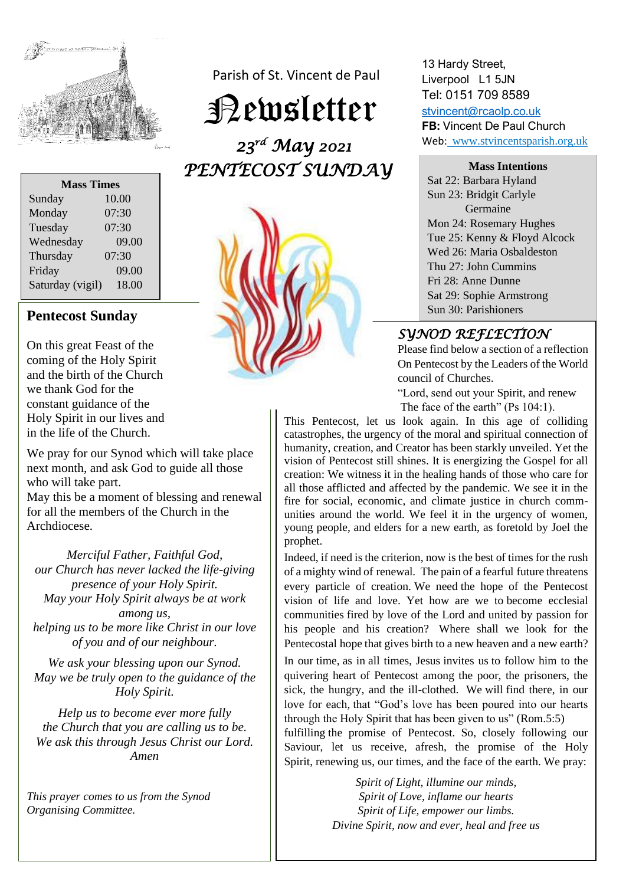

| <b>Mass Times</b> |       |
|-------------------|-------|
| Sunday            | 10.00 |
| Monday            | 07:30 |
| Tuesday           | 07:30 |
| Wednesday         | 09.00 |
| Thursday          | 07:30 |
| Friday            | 09.00 |
| Saturday (vigil)  | 18.00 |

On this great Feast of the coming of the Holy Spirit and the birth of the Church we thank God for the constant guidance of the Holy Spirit in our lives and in the life of the Church.

We pray for our Synod which will take place next month, and ask God to guide all those who will take part.

May this be a moment of blessing and renewal for all the members of the Church in the Archdiocese.

*Merciful Father, Faithful God, our Church has never lacked the life-giving presence of your Holy Spirit. May your Holy Spirit always be at work among us, helping us to be more like Christ in our love of you and of our neighbour.*

*We ask your blessing upon our Synod. May we be truly open to the guidance of the Holy Spirit.*

*Help us to become ever more fully the Church that you are calling us to be. We ask this through Jesus Christ our Lord. Amen*

*This prayer comes to us from the Synod Organising Committee.* 

Parish of St. Vincent de Paul

Newsletter

 *23rd May 2021 PENTECOST SUNDAY* 



13 Hardy Street, Liverpool L1 5JN Tel: 0151 709 8589

[stvincent@rcaolp.co.uk](mailto:stvincent@rcaolp.co.uk) **FB:** Vincent De Paul Church Web: www.stvincentsparish.org.uk

**Mass Intentions** Sat 22: Barbara Hyland Sun 23: Bridgit Carlyle Germaine Mon 24: Rosemary Hughes Tue 25: Kenny & Floyd Alcock Wed 26: Maria Osbaldeston Thu 27: John Cummins Fri 28: Anne Dunne Sat 29: Sophie Armstrong

# *SYNOD REFLECTION*

Please find below a section of a reflection On Pentecost by the Leaders of the World council of Churches.

"Lord, send out your Spirit, and renew The face of the earth" (Ps 104:1).

This Pentecost, let us look again. In this age of colliding catastrophes, the urgency of the moral and spiritual connection of humanity, creation, and Creator has been starkly unveiled. Yet the vision of Pentecost still shines. It is energizing the Gospel for all creation: We witness it in the healing hands of those who care for all those afflicted and affected by the pandemic. We see it in the fire for social, economic, and climate justice in church communities around the world. We feel it in the urgency of women, young people, and elders for a new earth, as foretold by Joel the prophet.

Indeed, if need is the criterion, now is the best of times for the rush of a mighty wind of renewal. The pain of a fearful future threatens every particle of creation. We need the hope of the Pentecost vision of life and love. Yet how are we to become ecclesial communities fired by love of the Lord and united by passion for his people and his creation? Where shall we look for the Pentecostal hope that gives birth to a new heaven and a new earth?

In our time, as in all times, Jesus invites us to follow him to the quivering heart of Pentecost among the poor, the prisoners, the sick, the hungry, and the ill-clothed. We will find there, in our love for each, that "God's love has been poured into our hearts through the Holy Spirit that has been given to us" (Rom.5:5)

fulfilling the promise of Pentecost. So, closely following our Saviour, let us receive, afresh, the promise of the Holy Spirit, renewing us, our times, and the face of the earth. We pray:

> *Spirit of Light, illumine our minds, Spirit of Love, inflame our hearts Spirit of Life, empower our limbs. Divine Spirit, now and ever, heal and free us*